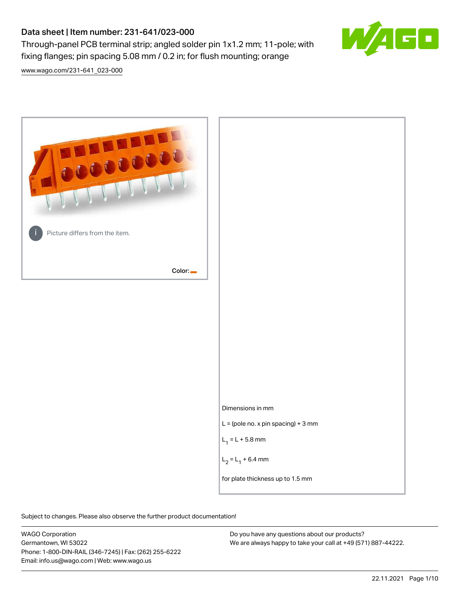## Data sheet | Item number: 231-641/023-000

Through-panel PCB terminal strip; angled solder pin 1x1.2 mm; 11-pole; with fixing flanges; pin spacing 5.08 mm / 0.2 in; for flush mounting; orange



[www.wago.com/231-641\\_023-000](http://www.wago.com/231-641_023-000)



Subject to changes. Please also observe the further product documentation!

WAGO Corporation Germantown, WI 53022 Phone: 1-800-DIN-RAIL (346-7245) | Fax: (262) 255-6222 Email: info.us@wago.com | Web: www.wago.us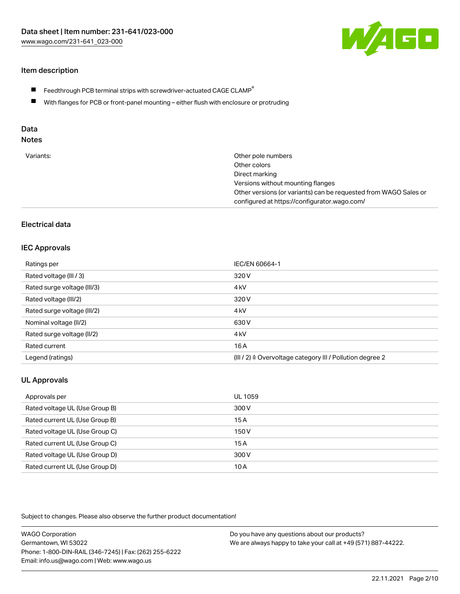

#### Item description

- $\blacksquare$  Feedthrough PCB terminal strips with screwdriver-actuated CAGE CLAMP<sup>®</sup>
- With flanges for PCB or front-panel mounting either flush with enclosure or protruding

# Data

# Notes

| Variants: | Other pole numbers                                               |
|-----------|------------------------------------------------------------------|
|           | Other colors                                                     |
|           | Direct marking                                                   |
|           | Versions without mounting flanges                                |
|           | Other versions (or variants) can be requested from WAGO Sales or |
|           | configured at https://configurator.wago.com/                     |

#### Electrical data

#### IEC Approvals

| Ratings per                 | IEC/EN 60664-1                                                       |
|-----------------------------|----------------------------------------------------------------------|
| Rated voltage (III / 3)     | 320 V                                                                |
| Rated surge voltage (III/3) | 4 <sub>k</sub> V                                                     |
| Rated voltage (III/2)       | 320 V                                                                |
| Rated surge voltage (III/2) | 4 <sub>k</sub> V                                                     |
| Nominal voltage (II/2)      | 630 V                                                                |
| Rated surge voltage (II/2)  | 4 <sub>k</sub> V                                                     |
| Rated current               | 16 A                                                                 |
| Legend (ratings)            | (III / 2) $\triangleq$ Overvoltage category III / Pollution degree 2 |

#### UL Approvals

| Approvals per                  | UL 1059 |
|--------------------------------|---------|
| Rated voltage UL (Use Group B) | 300 V   |
| Rated current UL (Use Group B) | 15A     |
| Rated voltage UL (Use Group C) | 150 V   |
| Rated current UL (Use Group C) | 15A     |
| Rated voltage UL (Use Group D) | 300 V   |
| Rated current UL (Use Group D) | 10 A    |

| <b>WAGO Corporation</b>                                | Do you have any questions about our products?                 |
|--------------------------------------------------------|---------------------------------------------------------------|
| Germantown, WI 53022                                   | We are always happy to take your call at +49 (571) 887-44222. |
| Phone: 1-800-DIN-RAIL (346-7245)   Fax: (262) 255-6222 |                                                               |
| Email: info.us@wago.com   Web: www.wago.us             |                                                               |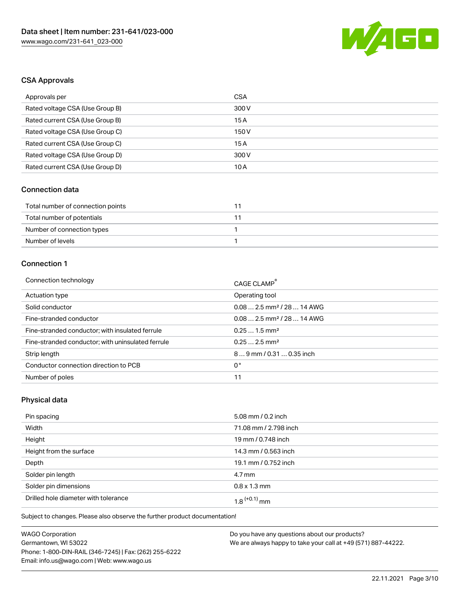

#### CSA Approvals

| Approvals per                   | CSA   |
|---------------------------------|-------|
| Rated voltage CSA (Use Group B) | 300 V |
| Rated current CSA (Use Group B) | 15 A  |
| Rated voltage CSA (Use Group C) | 150 V |
| Rated current CSA (Use Group C) | 15A   |
| Rated voltage CSA (Use Group D) | 300 V |
| Rated current CSA (Use Group D) | 10 A  |

#### Connection data

| Total number of connection points |  |
|-----------------------------------|--|
| Total number of potentials        |  |
| Number of connection types        |  |
| Number of levels                  |  |

### Connection 1

| Connection technology                             | CAGE CLAMP®                             |
|---------------------------------------------------|-----------------------------------------|
| Actuation type                                    | Operating tool                          |
| Solid conductor                                   | $0.082.5$ mm <sup>2</sup> / 28  14 AWG  |
| Fine-stranded conductor                           | $0.08$ 2.5 mm <sup>2</sup> / 28  14 AWG |
| Fine-stranded conductor; with insulated ferrule   | $0.251.5$ mm <sup>2</sup>               |
| Fine-stranded conductor; with uninsulated ferrule | $0.252.5$ mm <sup>2</sup>               |
| Strip length                                      | 89 mm / 0.31  0.35 inch                 |
| Conductor connection direction to PCB             | 0°                                      |
| Number of poles                                   | 11                                      |

#### Physical data

| Pin spacing                          | 5.08 mm / 0.2 inch          |
|--------------------------------------|-----------------------------|
| Width                                | 71.08 mm / 2.798 inch       |
| Height                               | 19 mm / 0.748 inch          |
| Height from the surface              | 14.3 mm / 0.563 inch        |
| Depth                                | 19.1 mm / 0.752 inch        |
| Solder pin length                    | $4.7 \,\mathrm{mm}$         |
| Solder pin dimensions                | $0.8 \times 1.3 \text{ mm}$ |
| Drilled hole diameter with tolerance | $1.8$ $(+0.1)$ mm           |

Subject to changes. Please also observe the further product documentation!

| <b>WAGO Corporation</b>                                | D |
|--------------------------------------------------------|---|
| Germantown, WI 53022                                   | W |
| Phone: 1-800-DIN-RAIL (346-7245)   Fax: (262) 255-6222 |   |
| Email: info.us@wago.com   Web: www.wago.us             |   |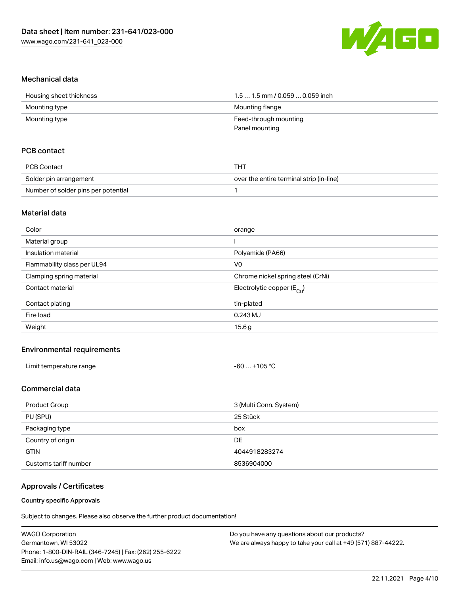

#### Mechanical data

| Housing sheet thickness | 1.5  1.5 mm / 0.059  0.059 inch |
|-------------------------|---------------------------------|
| Mounting type           | Mounting flange                 |
| Mounting type           | Feed-through mounting           |
|                         | Panel mounting                  |

#### PCB contact

| PCB Contact                         | тнт                                      |
|-------------------------------------|------------------------------------------|
| Solder pin arrangement              | over the entire terminal strip (in-line) |
| Number of solder pins per potential |                                          |

#### Material data

| Color                       | orange                                |
|-----------------------------|---------------------------------------|
| Material group              |                                       |
| Insulation material         | Polyamide (PA66)                      |
| Flammability class per UL94 | V <sub>0</sub>                        |
| Clamping spring material    | Chrome nickel spring steel (CrNi)     |
| Contact material            | Electrolytic copper $(E_{\text{Cl}})$ |
| Contact plating             | tin-plated                            |
| Fire load                   | 0.243 MJ                              |
| Weight                      | 15.6g                                 |
|                             |                                       |

#### Environmental requirements

| Limit temperature range | +105 °C<br>$-60$ |
|-------------------------|------------------|
|-------------------------|------------------|

#### Commercial data

| Product Group         | 3 (Multi Conn. System) |
|-----------------------|------------------------|
| PU (SPU)              | 25 Stück               |
| Packaging type        | box                    |
| Country of origin     | DE                     |
| <b>GTIN</b>           | 4044918283274          |
| Customs tariff number | 8536904000             |

#### Approvals / Certificates

#### Country specific Approvals

| WAGO Corporation                                       | Do you have any questions about our products?                 |
|--------------------------------------------------------|---------------------------------------------------------------|
| Germantown, WI 53022                                   | We are always happy to take your call at +49 (571) 887-44222. |
| Phone: 1-800-DIN-RAIL (346-7245)   Fax: (262) 255-6222 |                                                               |
| Email: info.us@wago.com   Web: www.wago.us             |                                                               |
|                                                        |                                                               |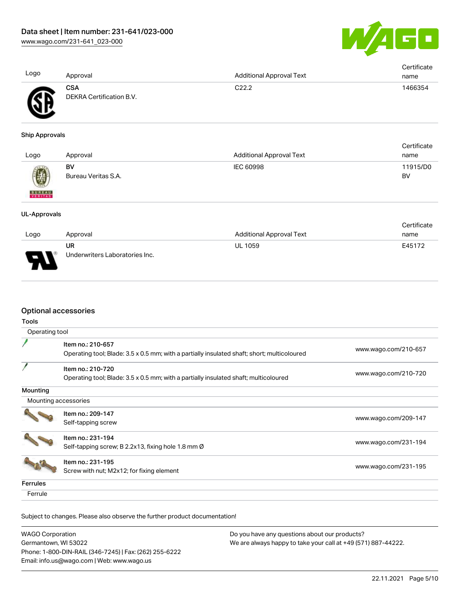

| Logo                     | Approval                               | <b>Additional Approval Text</b> | Certificate<br>name |
|--------------------------|----------------------------------------|---------------------------------|---------------------|
|                          | <b>CSA</b><br>DEKRA Certification B.V. | C22.2                           | 1466354             |
| <b>Ship Approvals</b>    |                                        |                                 |                     |
|                          |                                        |                                 | Certificate         |
| Logo                     | Approval                               | <b>Additional Approval Text</b> | name                |
|                          | BV                                     | <b>IEC 60998</b>                | 11915/D0            |
|                          | Bureau Veritas S.A.                    |                                 | BV                  |
| <b>BUREAU</b><br>VERITAS |                                        |                                 |                     |
| <b>UL-Approvals</b>      |                                        |                                 |                     |
|                          |                                        |                                 | Certificate         |
| Logo                     | Approval                               | <b>Additional Approval Text</b> | name                |
|                          | UR                                     | <b>UL 1059</b>                  | E45172              |
|                          | Underwriters Laboratories Inc.         |                                 |                     |

#### Optional accessories

| Tools                |                                                                                             |                      |
|----------------------|---------------------------------------------------------------------------------------------|----------------------|
| Operating tool       |                                                                                             |                      |
|                      | Item no.: 210-657                                                                           |                      |
|                      | Operating tool; Blade: 3.5 x 0.5 mm; with a partially insulated shaft; short; multicoloured | www.wago.com/210-657 |
|                      | Item no.: 210-720                                                                           |                      |
|                      | Operating tool; Blade: 3.5 x 0.5 mm; with a partially insulated shaft; multicoloured        | www.wago.com/210-720 |
| Mounting             |                                                                                             |                      |
| Mounting accessories |                                                                                             |                      |
|                      | Item no.: 209-147                                                                           |                      |
|                      | Self-tapping screw                                                                          | www.wago.com/209-147 |
|                      | Item no.: 231-194                                                                           |                      |
|                      | Self-tapping screw; B 2.2x13, fixing hole 1.8 mm Ø                                          | www.wago.com/231-194 |
|                      | Item no.: 231-195                                                                           |                      |
|                      | Screw with nut; M2x12; for fixing element                                                   | www.wago.com/231-195 |
| Ferrules             |                                                                                             |                      |
| Ferrule              |                                                                                             |                      |

| WAGO Corporation                                       | Do you have any questions about our products?                 |
|--------------------------------------------------------|---------------------------------------------------------------|
| Germantown, WI 53022                                   | We are always happy to take your call at +49 (571) 887-44222. |
| Phone: 1-800-DIN-RAIL (346-7245)   Fax: (262) 255-6222 |                                                               |
| Email: info.us@wago.com   Web: www.wago.us             |                                                               |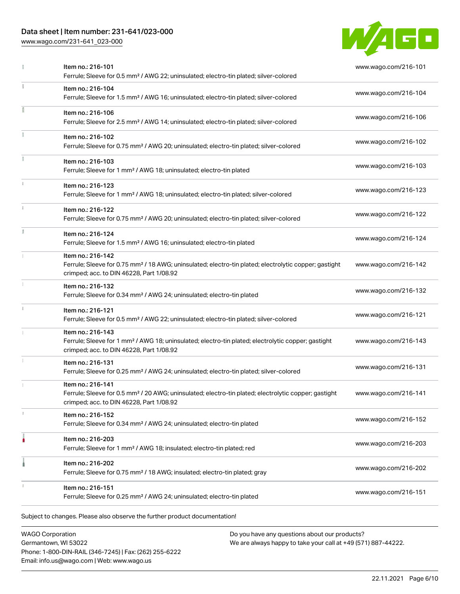## Data sheet | Item number: 231-641/023-000

[www.wago.com/231-641\\_023-000](http://www.wago.com/231-641_023-000)



|    | Item no.: 216-101<br>Ferrule; Sleeve for 0.5 mm <sup>2</sup> / AWG 22; uninsulated; electro-tin plated; silver-colored                                                             | www.wago.com/216-101 |
|----|------------------------------------------------------------------------------------------------------------------------------------------------------------------------------------|----------------------|
|    | Item no.: 216-104<br>Ferrule; Sleeve for 1.5 mm <sup>2</sup> / AWG 16; uninsulated; electro-tin plated; silver-colored                                                             | www.wago.com/216-104 |
|    | Item no.: 216-106<br>Ferrule; Sleeve for 2.5 mm <sup>2</sup> / AWG 14; uninsulated; electro-tin plated; silver-colored                                                             | www.wago.com/216-106 |
|    | Item no.: 216-102<br>Ferrule; Sleeve for 0.75 mm <sup>2</sup> / AWG 20; uninsulated; electro-tin plated; silver-colored                                                            | www.wago.com/216-102 |
|    | Item no.: 216-103<br>Ferrule; Sleeve for 1 mm <sup>2</sup> / AWG 18; uninsulated; electro-tin plated                                                                               | www.wago.com/216-103 |
|    | Item no.: 216-123<br>Ferrule; Sleeve for 1 mm <sup>2</sup> / AWG 18; uninsulated; electro-tin plated; silver-colored                                                               | www.wago.com/216-123 |
|    | Item no.: 216-122<br>Ferrule; Sleeve for 0.75 mm <sup>2</sup> / AWG 20; uninsulated; electro-tin plated; silver-colored                                                            | www.wago.com/216-122 |
| I. | Item no.: 216-124<br>Ferrule; Sleeve for 1.5 mm <sup>2</sup> / AWG 16; uninsulated; electro-tin plated                                                                             | www.wago.com/216-124 |
|    | Item no.: 216-142<br>Ferrule; Sleeve for 0.75 mm <sup>2</sup> / 18 AWG; uninsulated; electro-tin plated; electrolytic copper; gastight<br>crimped; acc. to DIN 46228, Part 1/08.92 | www.wago.com/216-142 |
|    | Item no.: 216-132<br>Ferrule; Sleeve for 0.34 mm <sup>2</sup> / AWG 24; uninsulated; electro-tin plated                                                                            | www.wago.com/216-132 |
|    | Item no.: 216-121<br>Ferrule; Sleeve for 0.5 mm <sup>2</sup> / AWG 22; uninsulated; electro-tin plated; silver-colored                                                             | www.wago.com/216-121 |
|    | Item no.: 216-143<br>Ferrule; Sleeve for 1 mm <sup>2</sup> / AWG 18; uninsulated; electro-tin plated; electrolytic copper; gastight<br>crimped; acc. to DIN 46228, Part 1/08.92    | www.wago.com/216-143 |
|    | Item no.: 216-131<br>Ferrule; Sleeve for 0.25 mm <sup>2</sup> / AWG 24; uninsulated; electro-tin plated; silver-colored                                                            | www.wago.com/216-131 |
|    | Item no.: 216-141<br>Ferrule; Sleeve for 0.5 mm <sup>2</sup> / 20 AWG; uninsulated; electro-tin plated; electrolytic copper; gastight<br>crimped; acc. to DIN 46228, Part 1/08.92  | www.wago.com/216-141 |
|    | Item no.: 216-152<br>Ferrule; Sleeve for 0.34 mm <sup>2</sup> / AWG 24; uninsulated; electro-tin plated                                                                            | www.wago.com/216-152 |
| ۵  | Item no.: 216-203<br>Ferrule; Sleeve for 1 mm <sup>2</sup> / AWG 18; insulated; electro-tin plated; red                                                                            | www.wago.com/216-203 |
|    | Item no.: 216-202<br>Ferrule; Sleeve for 0.75 mm <sup>2</sup> / 18 AWG; insulated; electro-tin plated; gray                                                                        | www.wago.com/216-202 |
|    | Item no.: 216-151<br>Ferrule; Sleeve for 0.25 mm <sup>2</sup> / AWG 24; uninsulated; electro-tin plated                                                                            | www.wago.com/216-151 |

WAGO Corporation Germantown, WI 53022 Phone: 1-800-DIN-RAIL (346-7245) | Fax: (262) 255-6222 Email: info.us@wago.com | Web: www.wago.us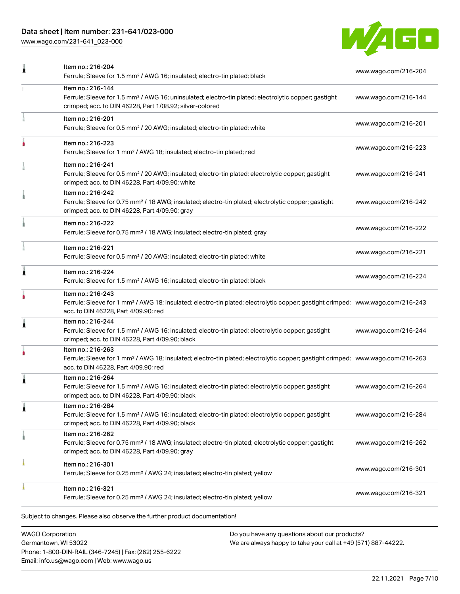## Data sheet | Item number: 231-641/023-000

[www.wago.com/231-641\\_023-000](http://www.wago.com/231-641_023-000)



|   | Item no.: 216-204<br>Ferrule; Sleeve for 1.5 mm <sup>2</sup> / AWG 16; insulated; electro-tin plated; black                                                                                             | www.wago.com/216-204 |
|---|---------------------------------------------------------------------------------------------------------------------------------------------------------------------------------------------------------|----------------------|
|   | Item no.: 216-144<br>Ferrule; Sleeve for 1.5 mm <sup>2</sup> / AWG 16; uninsulated; electro-tin plated; electrolytic copper; gastight<br>crimped; acc. to DIN 46228, Part 1/08.92; silver-colored       | www.wago.com/216-144 |
|   | Item no.: 216-201<br>Ferrule; Sleeve for 0.5 mm <sup>2</sup> / 20 AWG; insulated; electro-tin plated; white                                                                                             | www.wago.com/216-201 |
|   | Item no.: 216-223<br>Ferrule; Sleeve for 1 mm <sup>2</sup> / AWG 18; insulated; electro-tin plated; red                                                                                                 | www.wago.com/216-223 |
|   | Item no.: 216-241<br>Ferrule; Sleeve for 0.5 mm <sup>2</sup> / 20 AWG; insulated; electro-tin plated; electrolytic copper; gastight<br>crimped; acc. to DIN 46228, Part 4/09.90; white                  | www.wago.com/216-241 |
|   | Item no.: 216-242<br>Ferrule; Sleeve for 0.75 mm <sup>2</sup> / 18 AWG; insulated; electro-tin plated; electrolytic copper; gastight<br>crimped; acc. to DIN 46228, Part 4/09.90; gray                  | www.wago.com/216-242 |
|   | Item no.: 216-222<br>Ferrule; Sleeve for 0.75 mm <sup>2</sup> / 18 AWG; insulated; electro-tin plated; gray                                                                                             | www.wago.com/216-222 |
|   | Item no.: 216-221<br>Ferrule; Sleeve for 0.5 mm <sup>2</sup> / 20 AWG; insulated; electro-tin plated; white                                                                                             | www.wago.com/216-221 |
| Ă | Item no.: 216-224<br>Ferrule; Sleeve for 1.5 mm <sup>2</sup> / AWG 16; insulated; electro-tin plated; black                                                                                             | www.wago.com/216-224 |
|   | Item no.: 216-243<br>Ferrule; Sleeve for 1 mm <sup>2</sup> / AWG 18; insulated; electro-tin plated; electrolytic copper; gastight crimped; www.wago.com/216-243<br>acc. to DIN 46228, Part 4/09.90; red |                      |
| Â | Item no.: 216-244<br>Ferrule; Sleeve for 1.5 mm <sup>2</sup> / AWG 16; insulated; electro-tin plated; electrolytic copper; gastight<br>crimped; acc. to DIN 46228, Part 4/09.90; black                  | www.wago.com/216-244 |
|   | Item no.: 216-263<br>Ferrule; Sleeve for 1 mm <sup>2</sup> / AWG 18; insulated; electro-tin plated; electrolytic copper; gastight crimped; www.wago.com/216-263<br>acc. to DIN 46228, Part 4/09.90; red |                      |
| 1 | Item no.: 216-264<br>Ferrule; Sleeve for 1.5 mm <sup>2</sup> / AWG 16; insulated; electro-tin plated; electrolytic copper; gastight<br>crimped; acc. to DIN 46228, Part 4/09.90; black                  | www.wago.com/216-264 |
| 1 | Item no.: 216-284<br>Ferrule; Sleeve for 1.5 mm <sup>2</sup> / AWG 16; insulated; electro-tin plated; electrolytic copper; gastight<br>crimped; acc. to DIN 46228, Part 4/09.90; black                  | www.wago.com/216-284 |
|   | Item no.: 216-262<br>Ferrule; Sleeve for 0.75 mm <sup>2</sup> / 18 AWG; insulated; electro-tin plated; electrolytic copper; gastight<br>crimped; acc. to DIN 46228, Part 4/09.90; gray                  | www.wago.com/216-262 |
|   | Item no.: 216-301<br>Ferrule; Sleeve for 0.25 mm <sup>2</sup> / AWG 24; insulated; electro-tin plated; yellow                                                                                           | www.wago.com/216-301 |
|   | Item no.: 216-321<br>Ferrule; Sleeve for 0.25 mm <sup>2</sup> / AWG 24; insulated; electro-tin plated; yellow                                                                                           | www.wago.com/216-321 |

WAGO Corporation Germantown, WI 53022 Phone: 1-800-DIN-RAIL (346-7245) | Fax: (262) 255-6222 Email: info.us@wago.com | Web: www.wago.us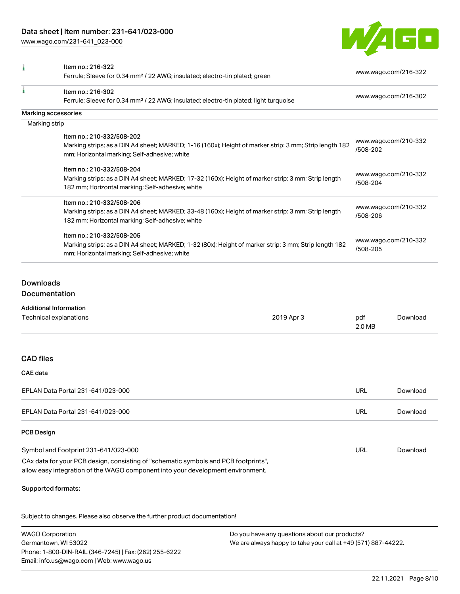[www.wago.com/231-641\\_023-000](http://www.wago.com/231-641_023-000)



|               | Item no.: 216-322<br>Ferrule; Sleeve for 0.34 mm <sup>2</sup> / 22 AWG; insulated; electro-tin plated; green | www.wago.com/216-322             |
|---------------|--------------------------------------------------------------------------------------------------------------|----------------------------------|
|               | Item no.: 216-302                                                                                            | www.wago.com/216-302             |
|               | Ferrule; Sleeve for 0.34 mm <sup>2</sup> / 22 AWG; insulated; electro-tin plated; light turquoise            |                                  |
|               | Marking accessories                                                                                          |                                  |
| Marking strip |                                                                                                              |                                  |
|               | Item no.: 210-332/508-202                                                                                    |                                  |
|               | Marking strips; as a DIN A4 sheet; MARKED; 1-16 (160x); Height of marker strip: 3 mm; Strip length 182       | www.wago.com/210-332             |
|               | mm; Horizontal marking; Self-adhesive; white                                                                 | /508-202                         |
|               | Item no.: 210-332/508-204                                                                                    |                                  |
|               | Marking strips; as a DIN A4 sheet; MARKED; 17-32 (160x); Height of marker strip: 3 mm; Strip length          | www.wago.com/210-332<br>/508-204 |
|               | 182 mm; Horizontal marking; Self-adhesive; white                                                             |                                  |
|               | Item no.: 210-332/508-206                                                                                    |                                  |
|               | Marking strips; as a DIN A4 sheet; MARKED; 33-48 (160x); Height of marker strip: 3 mm; Strip length          | www.wago.com/210-332             |
|               | 182 mm; Horizontal marking; Self-adhesive; white                                                             | /508-206                         |
|               | Item no.: 210-332/508-205                                                                                    |                                  |
|               | Marking strips; as a DIN A4 sheet; MARKED; 1-32 (80x); Height of marker strip: 3 mm; Strip length 182        | www.wago.com/210-332             |
|               | mm; Horizontal marking; Self-adhesive; white                                                                 | /508-205                         |

### Downloads Documentation

# Additional Information

| Technical explanations                                                                                                                                                 | 2019 Apr 3 | pdf<br>2.0 MB | Download |
|------------------------------------------------------------------------------------------------------------------------------------------------------------------------|------------|---------------|----------|
|                                                                                                                                                                        |            |               |          |
| <b>CAD files</b>                                                                                                                                                       |            |               |          |
| CAE data                                                                                                                                                               |            |               |          |
| EPLAN Data Portal 231-641/023-000                                                                                                                                      |            | <b>URL</b>    | Download |
| EPLAN Data Portal 231-641/023-000                                                                                                                                      |            | URL           | Download |
| <b>PCB Design</b>                                                                                                                                                      |            |               |          |
| Symbol and Footprint 231-641/023-000                                                                                                                                   |            | <b>URL</b>    | Download |
| CAx data for your PCB design, consisting of "schematic symbols and PCB footprints",<br>allow easy integration of the WAGO component into your development environment. |            |               |          |
| <b>Supported formats:</b>                                                                                                                                              |            |               |          |
| Only to the colonial to District the colonial of the Could contact the colonial of the colonial of the District                                                        |            |               |          |

| <b>WAGO Corporation</b>                                | Do you have any questions about our products?                 |
|--------------------------------------------------------|---------------------------------------------------------------|
| Germantown, WI 53022                                   | We are always happy to take your call at +49 (571) 887-44222. |
| Phone: 1-800-DIN-RAIL (346-7245)   Fax: (262) 255-6222 |                                                               |
| Email: info.us@wago.com   Web: www.wago.us             |                                                               |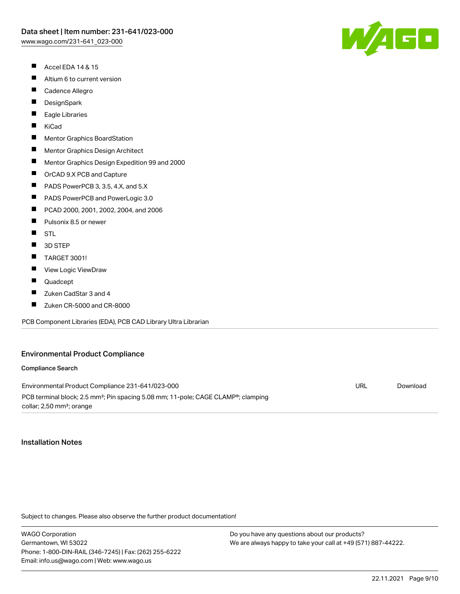- $\blacksquare$ Accel EDA 14 & 15
- $\blacksquare$ Altium 6 to current version
- $\blacksquare$ Cadence Allegro
- $\blacksquare$ **DesignSpark**
- П Eagle Libraries
- $\blacksquare$ KiCad
- $\blacksquare$ Mentor Graphics BoardStation
- $\blacksquare$ Mentor Graphics Design Architect
- $\blacksquare$ Mentor Graphics Design Expedition 99 and 2000
- $\blacksquare$ OrCAD 9.X PCB and Capture
- $\blacksquare$ PADS PowerPCB 3, 3.5, 4.X, and 5.X
- $\blacksquare$ PADS PowerPCB and PowerLogic 3.0
- $\blacksquare$ PCAD 2000, 2001, 2002, 2004, and 2006
- $\blacksquare$ Pulsonix 8.5 or newer
- $\blacksquare$ **STL**
- $\blacksquare$ 3D STEP
- $\blacksquare$ TARGET 3001!
- $\blacksquare$ View Logic ViewDraw
- $\blacksquare$ Quadcept
- $\blacksquare$ Zuken CadStar 3 and 4
- П Zuken CR-5000 and CR-8000

PCB Component Libraries (EDA), PCB CAD Library Ultra Librarian

#### Environmental Product Compliance

#### Compliance Search

Environmental Product Compliance 231-641/023-000 PCB terminal block; 2.5 mm<sup>2</sup>; Pin spacing 5.08 mm; 11-pole; CAGE CLAMP<sup>®</sup>; clamping collar; 2,50 mm²; orange URL [Download](https://www.wago.com/global/d/ComplianceLinkMediaContainer_231-641_023-000)

#### Installation Notes

Subject to changes. Please also observe the further product documentation!

WAGO Corporation Germantown, WI 53022 Phone: 1-800-DIN-RAIL (346-7245) | Fax: (262) 255-6222 Email: info.us@wago.com | Web: www.wago.us